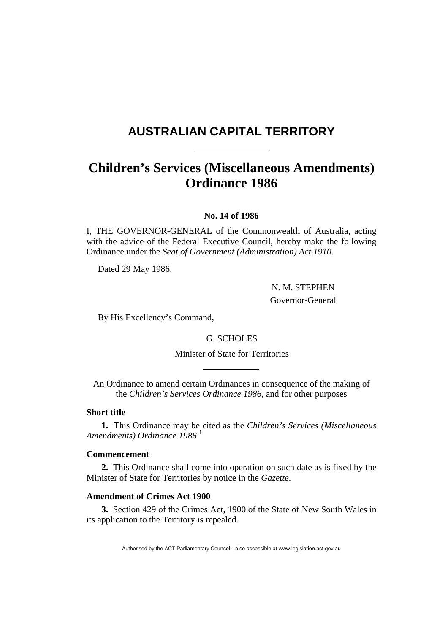# <span id="page-0-0"></span>**AUSTRALIAN CAPITAL TERRITORY**

# **Children's Services (Miscellaneous Amendments) Ordinance [1986](#page-0-0)**

**No. 14 of 1986** 

I, THE GOVERNOR-GENERAL of the Commonwealth of Australia, acting with the advice of the Federal Executive Council, hereby make the following Ordinance under the *Seat of Government (Administration) Act 1910*.

Dated 29 May 1986.

 N. M. STEPHEN Governor-General

By His Excellency's Command,

G. SCHOLES

Minister of State for Territories

An Ordinance to amend certain Ordinances in consequence of the making of the *Children's Services Ordinance 1986*, and for other purposes

# **Short title**

**1.** This Ordinance may be cited as the *Children's Services (Miscellaneous Amendments) Ordinance 1986*. 1

# **Commencement**

**2.** This Ordinance shall come into operation on such date as is fixed by the Minister of State for Territories by notice in the *Gazette*.

# **Amendment of Crimes Act 1900**

**3.** Section 429 of the Crimes Act, 1900 of the State of New South Wales in its application to the Territory is repealed.

Authorised by the ACT Parliamentary Counsel—also accessible at www.legislation.act.gov.au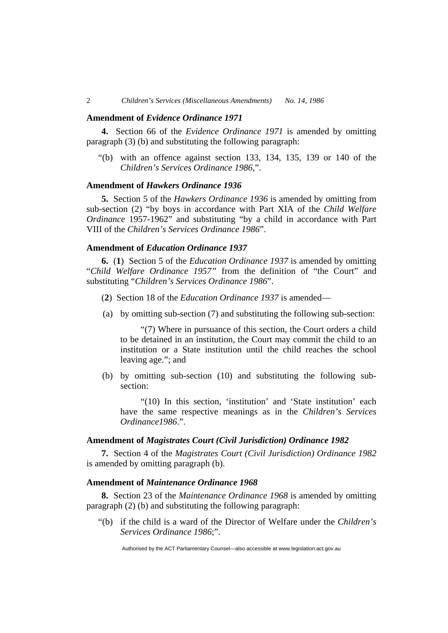#### **Amendment of** *Evidence Ordinance 1971*

**4.** Section 66 of the *Evidence Ordinance 1971* is amended by omitting paragraph (3) (b) and substituting the following paragraph:

 "(b) with an offence against section 133, 134, 135, 139 or 140 of the *Children's Services Ordinance 1986*,".

#### **Amendment of** *Hawkers Ordinance 1936*

**5.** Section 5 of the *Hawkers Ordinance 1936* is amended by omitting from sub-section (2) "by boys in accordance with Part XIA of the *Child Welfare Ordinance* 1957-1962" and substituting "by a child in accordance with Part VIII of the *Children's Services Ordinance 1986*".

#### **Amendment of** *Education Ordinance 1937*

**6.** (**1**) Section 5 of the *Education Ordinance 1937* is amended by omitting "*Child Welfare Ordinance 1957"* from the definition of "the Court" and substituting "*Children's Services Ordinance 1986*".

- (**2**) Section 18 of the *Education Ordinance 1937* is amended—
- (a) by omitting sub-section (7) and substituting the following sub-section:

 "(7) Where in pursuance of this section, the Court orders a child to be detained in an institution, the Court may commit the child to an institution or a State institution until the child reaches the school leaving age."; and

 (b) by omitting sub-section (10) and substituting the following subsection:

 "(10) In this section, 'institution' and 'State institution' each have the same respective meanings as in the *Children's Services Ordinance1986*.".

#### **Amendment of** *Magistrates Court (Civil Jurisdiction) Ordinance 1982*

**7.** Section 4 of the *Magistrates Court (Civil Jurisdiction) Ordinance 1982* is amended by omitting paragraph (b).

#### **Amendment of** *Maintenance Ordinance 1968*

**8.** Section 23 of the *Maintenance Ordinance 1968* is amended by omitting paragraph (2) (b) and substituting the following paragraph:

 "(b) if the child is a ward of the Director of Welfare under the *Children's Services Ordinance 1986*;".

Authorised by the ACT Parliamentary Counsel—also accessible at www.legislation.act.gov.au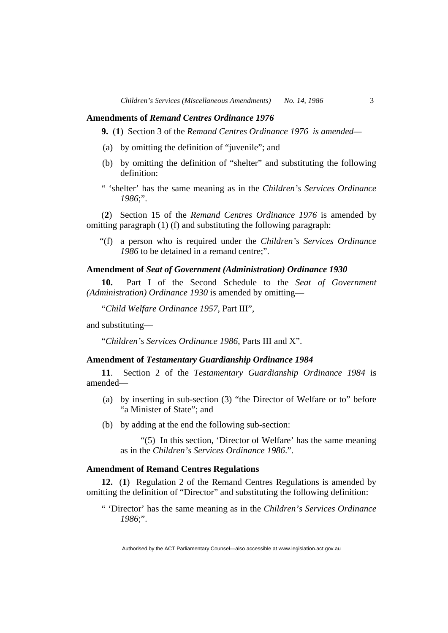#### **Amendments of** *Remand Centres Ordinance 1976*

**9.** (**1**) Section 3 of the *Remand Centres Ordinance 1976 is amended—*

- (a) by omitting the definition of "juvenile"; and
- (b) by omitting the definition of "shelter" and substituting the following definition:
- " 'shelter' has the same meaning as in the *Children's Services Ordinance 1986*;".

(**2**) Section 15 of the *Remand Centres Ordinance 1976* is amended by omitting paragraph (1) (f) and substituting the following paragraph:

 "(f) a person who is required under the *Children's Services Ordinance 1986* to be detained in a remand centre;".

# **Amendment of** *Seat of Government (Administration) Ordinance 1930*

**10.** Part I of the Second Schedule to the *Seat of Government (Administration) Ordinance 1930* is amended by omitting—

"*Child Welfare Ordinance 1957*, Part III",

and substituting—

"*Children's Services Ordinance 1986*, Parts III and X".

# **Amendment of** *Testamentary Guardianship Ordinance 1984*

**11**. Section 2 of the *Testamentary Guardianship Ordinance 1984* is amended—

- (a) by inserting in sub-section (3) "the Director of Welfare or to" before "a Minister of State"; and
- (b) by adding at the end the following sub-section:

 "(5) In this section, 'Director of Welfare' has the same meaning as in the *Children's Services Ordinance 1986*.".

#### **Amendment of Remand Centres Regulations**

**12.** (**1**) Regulation 2 of the Remand Centres Regulations is amended by omitting the definition of "Director" and substituting the following definition:

" 'Director' has the same meaning as in the *Children's Services Ordinance 1986*;".

Authorised by the ACT Parliamentary Counsel—also accessible at www.legislation.act.gov.au